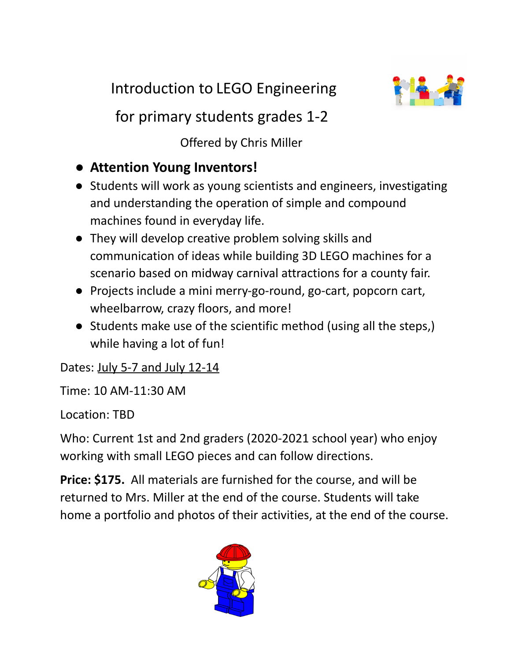Introduction to LEGO Engineering



for primary students grades 1-2

Offered by Chris Miller

- **Attention Young Inventors!**
- Students will work as young scientists and engineers, investigating and understanding the operation of simple and compound machines found in everyday life.
- They will develop creative problem solving skills and communication of ideas while building 3D LEGO machines for a scenario based on midway carnival attractions for a county fair.
- Projects include a mini merry-go-round, go-cart, popcorn cart, wheelbarrow, crazy floors, and more!
- Students make use of the scientific method (using all the steps,) while having a lot of fun!

Dates: July 5-7 and July 12-14

Time: 10 AM-11:30 AM

Location: TBD

Who: Current 1st and 2nd graders (2020-2021 school year) who enjoy working with small LEGO pieces and can follow directions.

**Price: \$175.** All materials are furnished for the course, and will be returned to Mrs. Miller at the end of the course. Students will take home a portfolio and photos of their activities, at the end of the course.

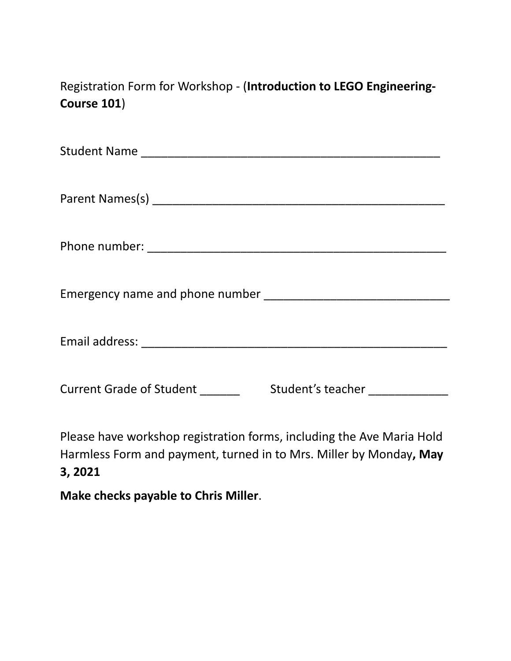Registration Form for Workshop - (**Introduction to LEGO Engineering-Course 101**)

| <b>Current Grade of Student</b><br>Student's teacher Student's reacher |
|------------------------------------------------------------------------|

Please have workshop registration forms, including the Ave Maria Hold Harmless Form and payment, turned in to Mrs. Miller by Monday**, May 3, 2021**

**Make checks payable to Chris Miller**.